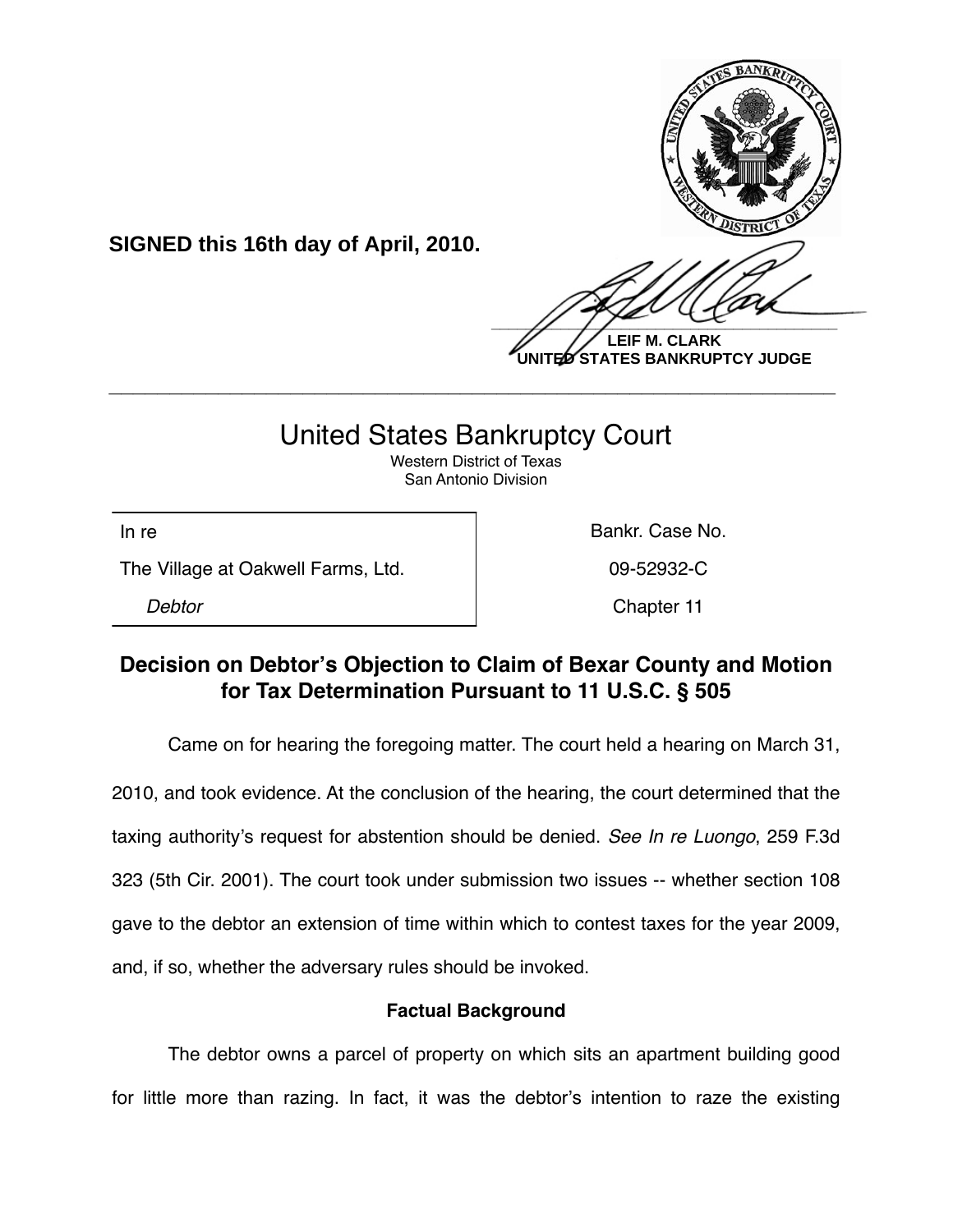

**UNITED STATES BANKRUPTCY JUDGE**

## United States Bankruptcy Court

**\_\_\_\_\_\_\_\_\_\_\_\_\_\_\_\_\_\_\_\_\_\_\_\_\_\_\_\_\_\_\_\_\_\_\_\_\_\_\_\_\_\_\_\_\_\_\_\_\_\_\_\_\_\_\_\_\_\_\_\_**

Western District of Texas San Antonio Division

The Village at Oakwell Farms, Ltd. 09-52932-C

**SIGNED this 16th day of April, 2010.**

In re **Bankr.** Case No.

*Debtor* Chapter 11

## **Decision on Debtor's Objection to Claim of Bexar County and Motion for Tax Determination Pursuant to 11 U.S.C. § 505**

Came on for hearing the foregoing matter. The court held a hearing on March 31,

2010, and took evidence. At the conclusion of the hearing, the court determined that the taxing authority's request for abstention should be denied. *See In re Luongo*, 259 F.3d 323 (5th Cir. 2001). The court took under submission two issues -- whether section 108 gave to the debtor an extension of time within which to contest taxes for the year 2009, and, if so, whether the adversary rules should be invoked.

## **Factual Background**

The debtor owns a parcel of property on which sits an apartment building good for little more than razing. In fact, it was the debtor's intention to raze the existing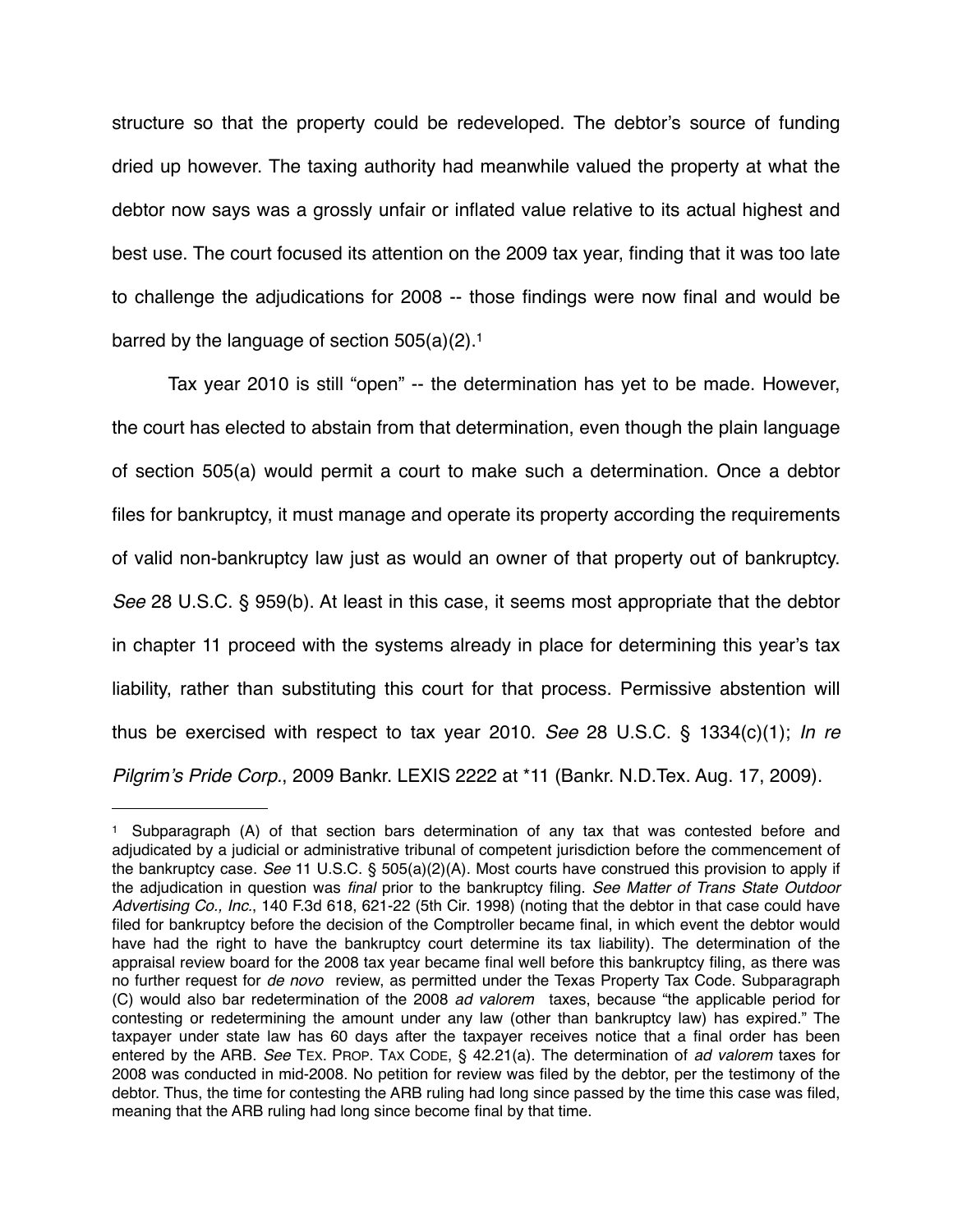structure so that the property could be redeveloped. The debtor's source of funding dried up however. The taxing authority had meanwhile valued the property at what the debtor now says was a grossly unfair or inflated value relative to its actual highest and best use. The court focused its attention on the 2009 tax year, finding that it was too late to challenge the adjudications for 2008 -- those findings were now final and would be barred by the language of section 505(a)(2)[.1](#page-1-0)

Tax year 2010 is still "open" -- the determination has yet to be made. However, the court has elected to abstain from that determination, even though the plain language of section 505(a) would permit a court to make such a determination. Once a debtor files for bankruptcy, it must manage and operate its property according the requirements of valid non-bankruptcy law just as would an owner of that property out of bankruptcy. *See* 28 U.S.C. § 959(b). At least in this case, it seems most appropriate that the debtor in chapter 11 proceed with the systems already in place for determining this year's tax liability, rather than substituting this court for that process. Permissive abstention will thus be exercised with respect to tax year 2010. *See* 28 U.S.C. § 1334(c)(1); *In re Pilgrim*'*s Pride Corp.*, 2009 Bankr. LEXIS 2222 at \*11 (Bankr. N.D.Tex. Aug. 17, 2009).

<span id="page-1-0"></span><sup>1</sup> Subparagraph (A) of that section bars determination of any tax that was contested before and adjudicated by a judicial or administrative tribunal of competent jurisdiction before the commencement of the bankruptcy case. *See* 11 U.S.C. § 505(a)(2)(A). Most courts have construed this provision to apply if the adjudication in question was *final* prior to the bankruptcy filing. *See Matter of Trans State Outdoor Advertising Co., Inc.*, 140 F.3d 618, 621-22 (5th Cir. 1998) (noting that the debtor in that case could have filed for bankruptcy before the decision of the Comptroller became final, in which event the debtor would have had the right to have the bankruptcy court determine its tax liability). The determination of the appraisal review board for the 2008 tax year became final well before this bankruptcy filing, as there was no further request for *de novo* review, as permitted under the Texas Property Tax Code. Subparagraph (C) would also bar redetermination of the 2008 *ad valorem* taxes, because "the applicable period for contesting or redetermining the amount under any law (other than bankruptcy law) has expired." The taxpayer under state law has 60 days after the taxpayer receives notice that a final order has been entered by the ARB. *See* TEX. PROP. TAX CODE, § 42.21(a). The determination of *ad valorem* taxes for 2008 was conducted in mid-2008. No petition for review was filed by the debtor, per the testimony of the debtor. Thus, the time for contesting the ARB ruling had long since passed by the time this case was filed, meaning that the ARB ruling had long since become final by that time.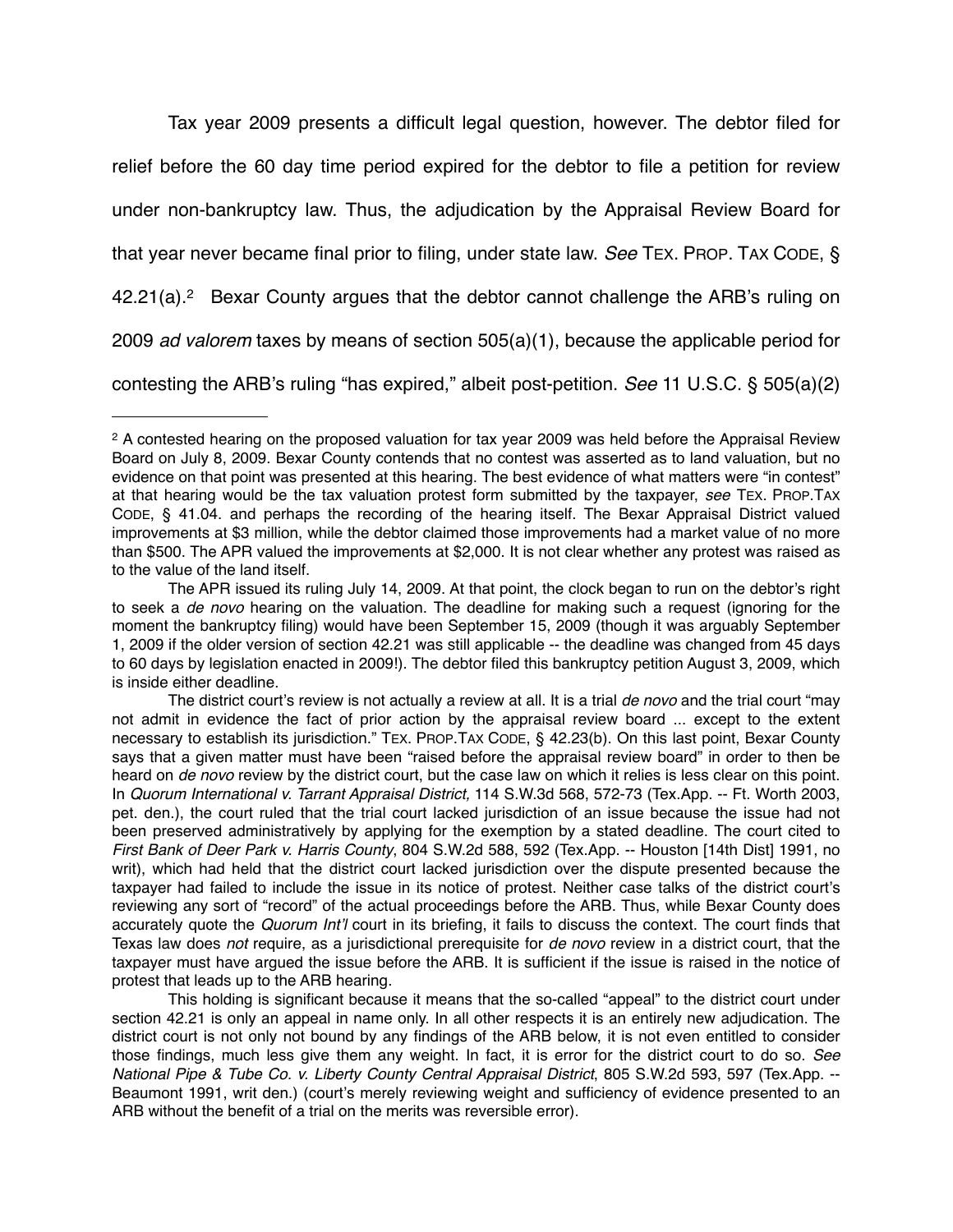Tax year 2009 presents a difficult legal question, however. The debtor filed for relief before the 60 day time period expired for the debtor to file a petition for review under non-bankruptcy law. Thus, the adjudication by the Appraisal Review Board for that year never became final prior to filing, under state law. *See* TEX. PROP. TAX CODE, § 42.21(a)[.2](#page-2-0) Bexar County argues that the debtor cannot challenge the ARB's ruling on 2009 *ad valorem* taxes by means of section 505(a)(1), because the applicable period for contesting the ARB's ruling "has expired," albeit post-petition. *See* 11 U.S.C. § 505(a)(2)

<span id="page-2-0"></span><sup>2</sup> A contested hearing on the proposed valuation for tax year 2009 was held before the Appraisal Review Board on July 8, 2009. Bexar County contends that no contest was asserted as to land valuation, but no evidence on that point was presented at this hearing. The best evidence of what matters were "in contest" at that hearing would be the tax valuation protest form submitted by the taxpayer, *see* TEX. PROP.TAX CODE, § 41.04. and perhaps the recording of the hearing itself. The Bexar Appraisal District valued improvements at \$3 million, while the debtor claimed those improvements had a market value of no more than \$500. The APR valued the improvements at \$2,000. It is not clear whether any protest was raised as to the value of the land itself.

The APR issued its ruling July 14, 2009. At that point, the clock began to run on the debtor's right to seek a *de novo* hearing on the valuation. The deadline for making such a request (ignoring for the moment the bankruptcy filing) would have been September 15, 2009 (though it was arguably September 1, 2009 if the older version of section 42.21 was still applicable -- the deadline was changed from 45 days to 60 days by legislation enacted in 2009!). The debtor filed this bankruptcy petition August 3, 2009, which is inside either deadline.

The district court's review is not actually a review at all. It is a trial *de novo* and the trial court "may not admit in evidence the fact of prior action by the appraisal review board ... except to the extent necessary to establish its jurisdiction." TEX. PROP.TAX CODE, § 42.23(b). On this last point, Bexar County says that a given matter must have been "raised before the appraisal review board" in order to then be heard on *de novo* review by the district court, but the case law on which it relies is less clear on this point. In *Quorum International v. Tarrant Appraisal District,* 114 S.W.3d 568, 572-73 (Tex.App. -- Ft. Worth 2003, pet. den.), the court ruled that the trial court lacked jurisdiction of an issue because the issue had not been preserved administratively by applying for the exemption by a stated deadline. The court cited to *First Bank of Deer Park v. Harris County*, 804 S.W.2d 588, 592 (Tex.App. -- Houston [14th Dist] 1991, no writ), which had held that the district court lacked jurisdiction over the dispute presented because the taxpayer had failed to include the issue in its notice of protest. Neither case talks of the district court's reviewing any sort of "record" of the actual proceedings before the ARB. Thus, while Bexar County does accurately quote the *Quorum Int*'*l* court in its briefing, it fails to discuss the context. The court finds that Texas law does *not* require, as a jurisdictional prerequisite for *de novo* review in a district court, that the taxpayer must have argued the issue before the ARB. It is sufficient if the issue is raised in the notice of protest that leads up to the ARB hearing.

This holding is significant because it means that the so-called "appeal" to the district court under section 42.21 is only an appeal in name only. In all other respects it is an entirely new adjudication. The district court is not only not bound by any findings of the ARB below, it is not even entitled to consider those findings, much less give them any weight. In fact, it is error for the district court to do so. *See National Pipe & Tube Co. v. Liberty County Central Appraisal District*, 805 S.W.2d 593, 597 (Tex.App. -- Beaumont 1991, writ den.) (court's merely reviewing weight and sufficiency of evidence presented to an ARB without the benefit of a trial on the merits was reversible error).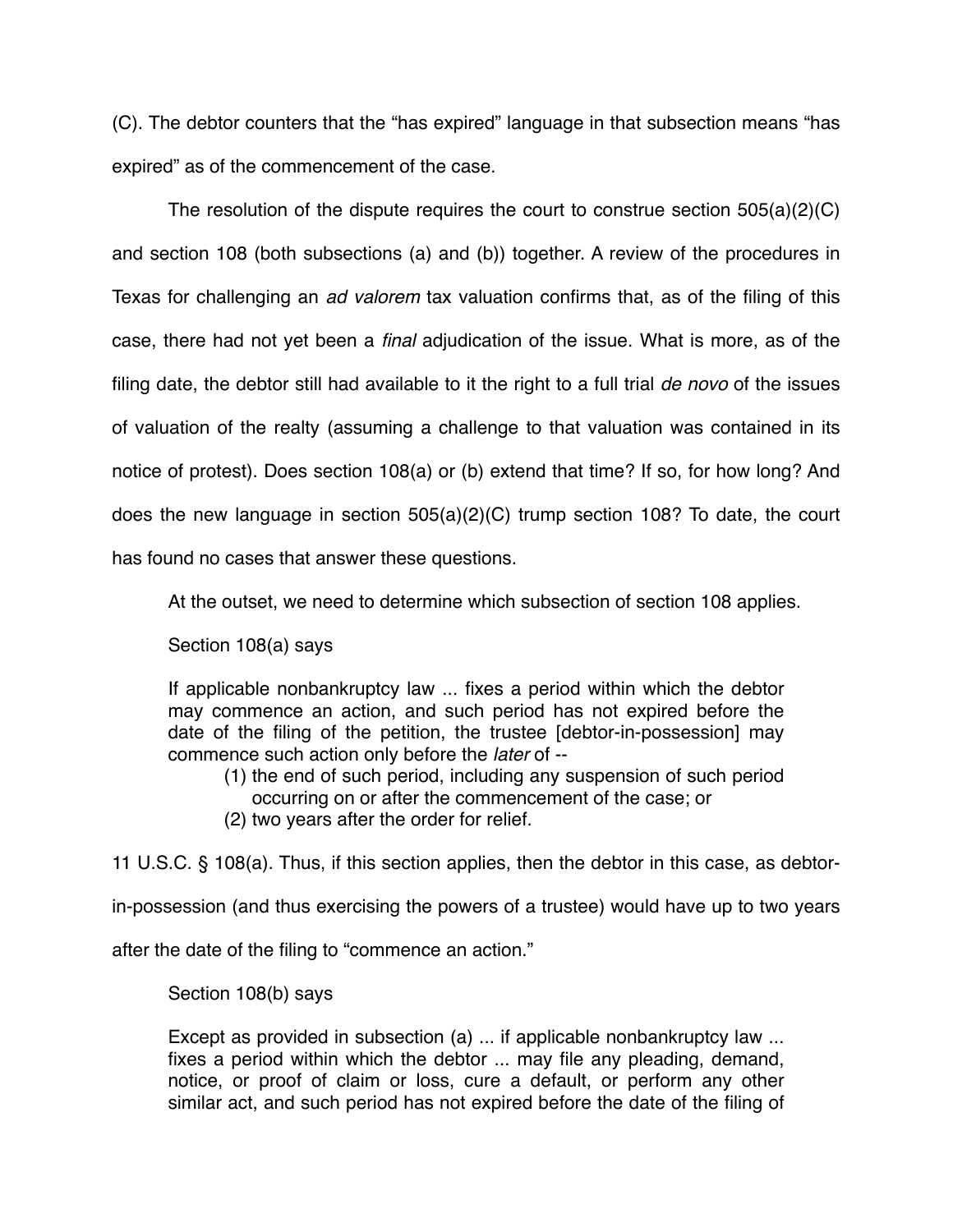(C). The debtor counters that the "has expired" language in that subsection means "has expired" as of the commencement of the case.

The resolution of the dispute requires the court to construe section 505(a)(2)(C) and section 108 (both subsections (a) and (b)) together. A review of the procedures in Texas for challenging an *ad valorem* tax valuation confirms that, as of the filing of this case, there had not yet been a *final* adjudication of the issue. What is more, as of the filing date, the debtor still had available to it the right to a full trial *de novo* of the issues of valuation of the realty (assuming a challenge to that valuation was contained in its notice of protest). Does section 108(a) or (b) extend that time? If so, for how long? And does the new language in section 505(a)(2)(C) trump section 108? To date, the court has found no cases that answer these questions.

At the outset, we need to determine which subsection of section 108 applies.

Section 108(a) says

If applicable nonbankruptcy law ... fixes a period within which the debtor may commence an action, and such period has not expired before the date of the filing of the petition, the trustee [debtor-in-possession] may commence such action only before the *later* of --

- (1) the end of such period, including any suspension of such period occurring on or after the commencement of the case; or
- (2) two years after the order for relief.

11 U.S.C. § 108(a). Thus, if this section applies, then the debtor in this case, as debtor-

in-possession (and thus exercising the powers of a trustee) would have up to two years

after the date of the filing to "commence an action."

Section 108(b) says

Except as provided in subsection (a) ... if applicable nonbankruptcy law ... fixes a period within which the debtor ... may file any pleading, demand, notice, or proof of claim or loss, cure a default, or perform any other similar act, and such period has not expired before the date of the filing of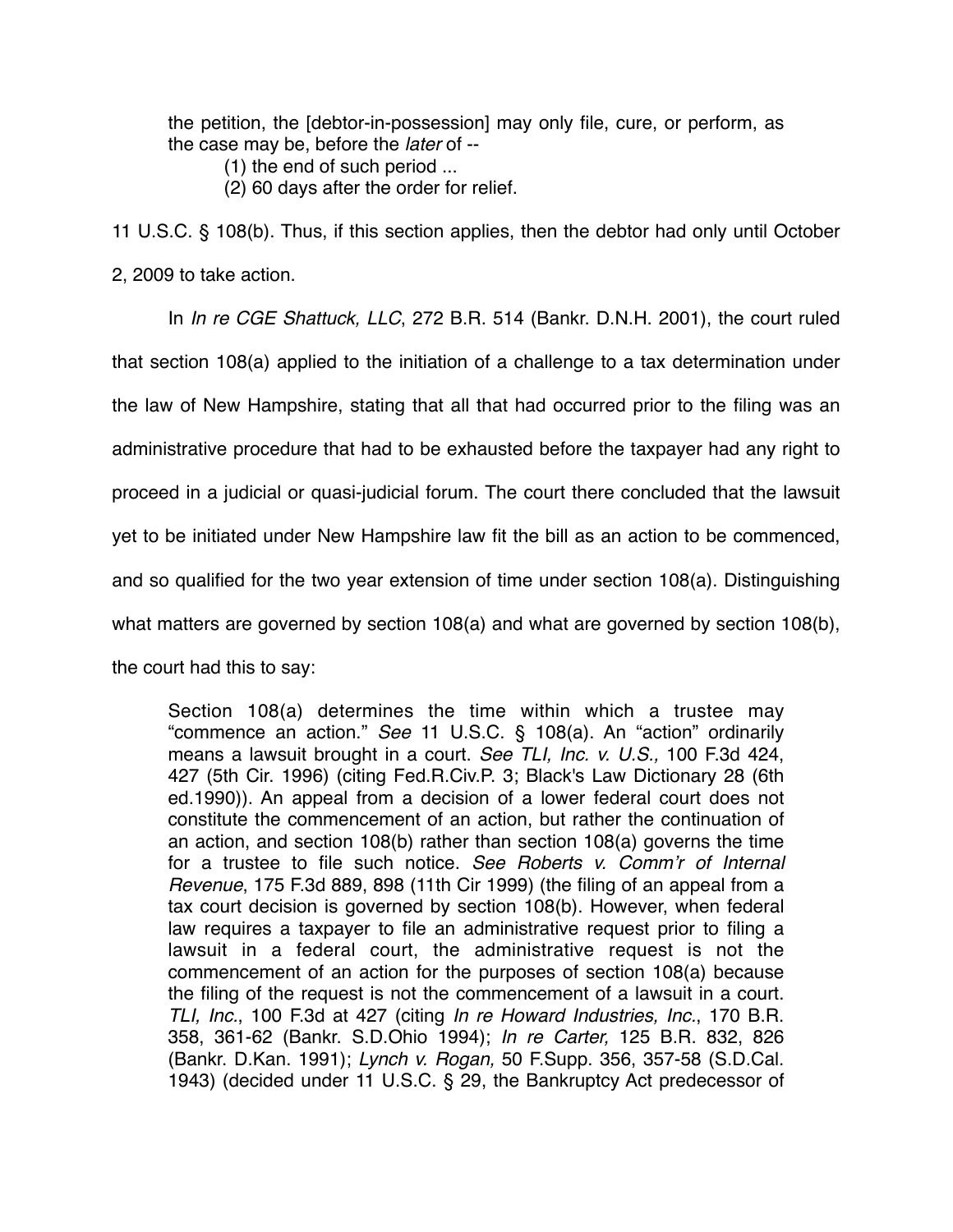the petition, the [debtor-in-possession] may only file, cure, or perform, as the case may be, before the *later* of --

- (1) the end of such period ...
- (2) 60 days after the order for relief.

11 U.S.C. § 108(b). Thus, if this section applies, then the debtor had only until October 2, 2009 to take action.

In *In re CGE Shattuck, LLC*, 272 B.R. 514 (Bankr. D.N.H. 2001), the court ruled that section 108(a) applied to the initiation of a challenge to a tax determination under the law of New Hampshire, stating that all that had occurred prior to the filing was an administrative procedure that had to be exhausted before the taxpayer had any right to proceed in a judicial or quasi-judicial forum. The court there concluded that the lawsuit yet to be initiated under New Hampshire law fit the bill as an action to be commenced, and so qualified for the two year extension of time under section 108(a). Distinguishing what matters are governed by section 108(a) and what are governed by section 108(b), the court had this to say:

Section 108(a) determines the time within which a trustee may "commence an action." *See* 11 U.S.C. § 108(a). An "action" ordinarily means a lawsuit brought in a court. *See TLI, Inc. v. U.S.,* 100 F.3d 424, 427 (5th Cir. 1996) (citing Fed.R.Civ.P. 3; Black's Law Dictionary 28 (6th ed.1990)). An appeal from a decision of a lower federal court does not constitute the commencement of an action, but rather the continuation of an action, and section 108(b) rather than section 108(a) governs the time for a trustee to file such notice. *See Roberts v. Comm*'*r of Internal Revenue*, 175 F.3d 889, 898 (11th Cir 1999) (the filing of an appeal from a tax court decision is governed by section 108(b). However, when federal law requires a taxpayer to file an administrative request prior to filing a lawsuit in a federal court, the administrative request is not the commencement of an action for the purposes of section 108(a) because the filing of the request is not the commencement of a lawsuit in a court. *TLI, Inc.*, 100 F.3d at 427 (citing *In re Howard Industries, Inc.*, 170 B.R. 358, 361-62 (Bankr. S.D.Ohio 1994); *In re Carter,* 125 B.R. 832, 826 (Bankr. D.Kan. 1991); *Lynch v. Rogan,* 50 F.Supp. 356, 357-58 (S.D.Cal. 1943) (decided under 11 U.S.C. § 29, the Bankruptcy Act predecessor of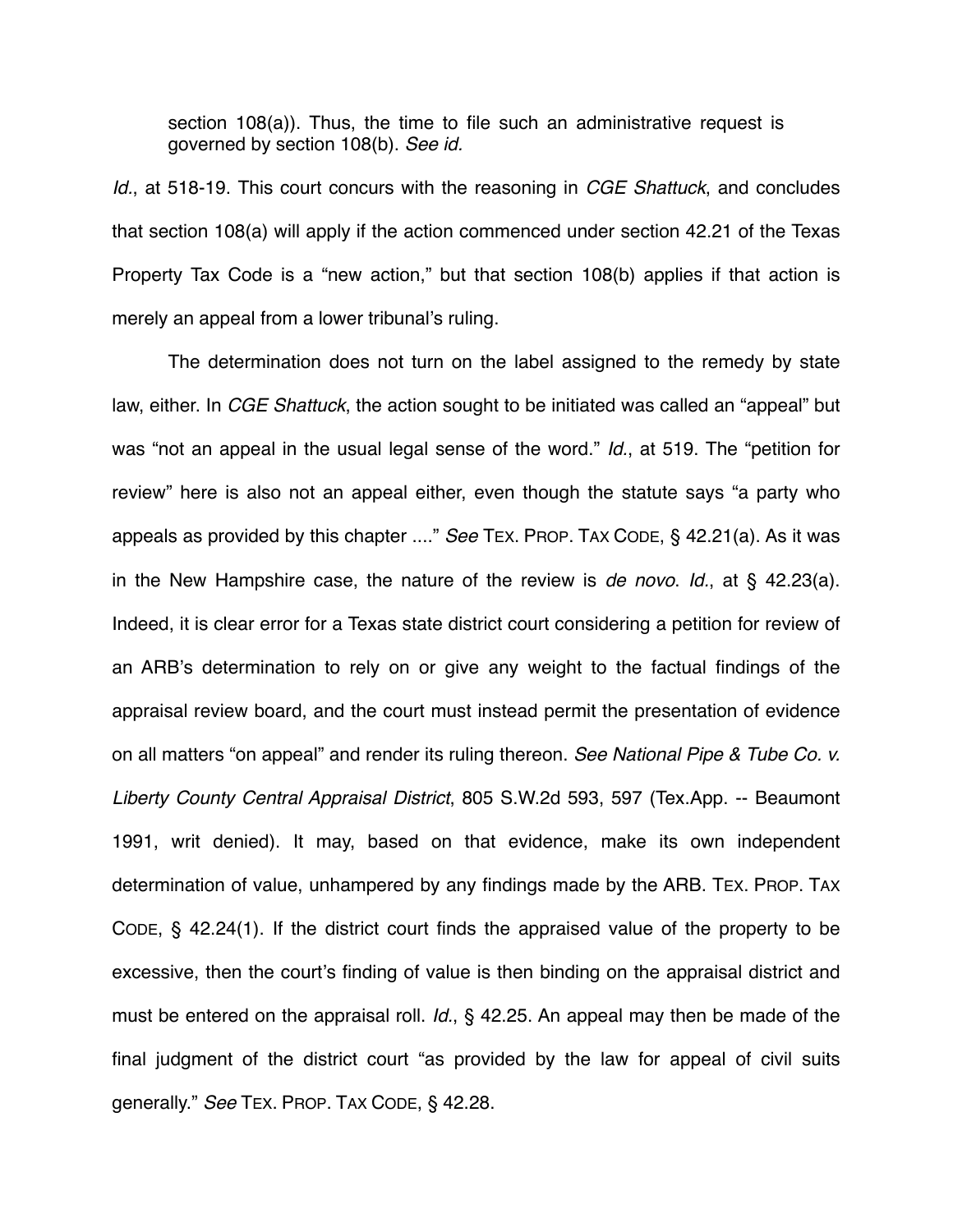section 108(a)). Thus, the time to file such an administrative request is governed by section 108(b). *See id.*

*Id.*, at 518-19. This court concurs with the reasoning in *CGE Shattuck*, and concludes that section 108(a) will apply if the action commenced under section 42.21 of the Texas Property Tax Code is a "new action," but that section 108(b) applies if that action is merely an appeal from a lower tribunal's ruling.

The determination does not turn on the label assigned to the remedy by state law, either. In *CGE Shattuck*, the action sought to be initiated was called an "appeal" but was "not an appeal in the usual legal sense of the word." *Id.*, at 519. The "petition for review" here is also not an appeal either, even though the statute says "a party who appeals as provided by this chapter ...." *See* TEX. PROP. TAX CODE, § 42.21(a). As it was in the New Hampshire case, the nature of the review is *de novo*. *Id.*, at § 42.23(a). Indeed, it is clear error for a Texas state district court considering a petition for review of an ARB's determination to rely on or give any weight to the factual findings of the appraisal review board, and the court must instead permit the presentation of evidence on all matters "on appeal" and render its ruling thereon. *See National Pipe & Tube Co. v. Liberty County Central Appraisal District*, 805 S.W.2d 593, 597 (Tex.App. -- Beaumont 1991, writ denied). It may, based on that evidence, make its own independent determination of value, unhampered by any findings made by the ARB. TEX. PROP. TAX CODE, § 42.24(1). If the district court finds the appraised value of the property to be excessive, then the court's finding of value is then binding on the appraisal district and must be entered on the appraisal roll. *Id.*, § 42.25. An appeal may then be made of the final judgment of the district court "as provided by the law for appeal of civil suits generally." *See* TEX. PROP. TAX CODE, § 42.28.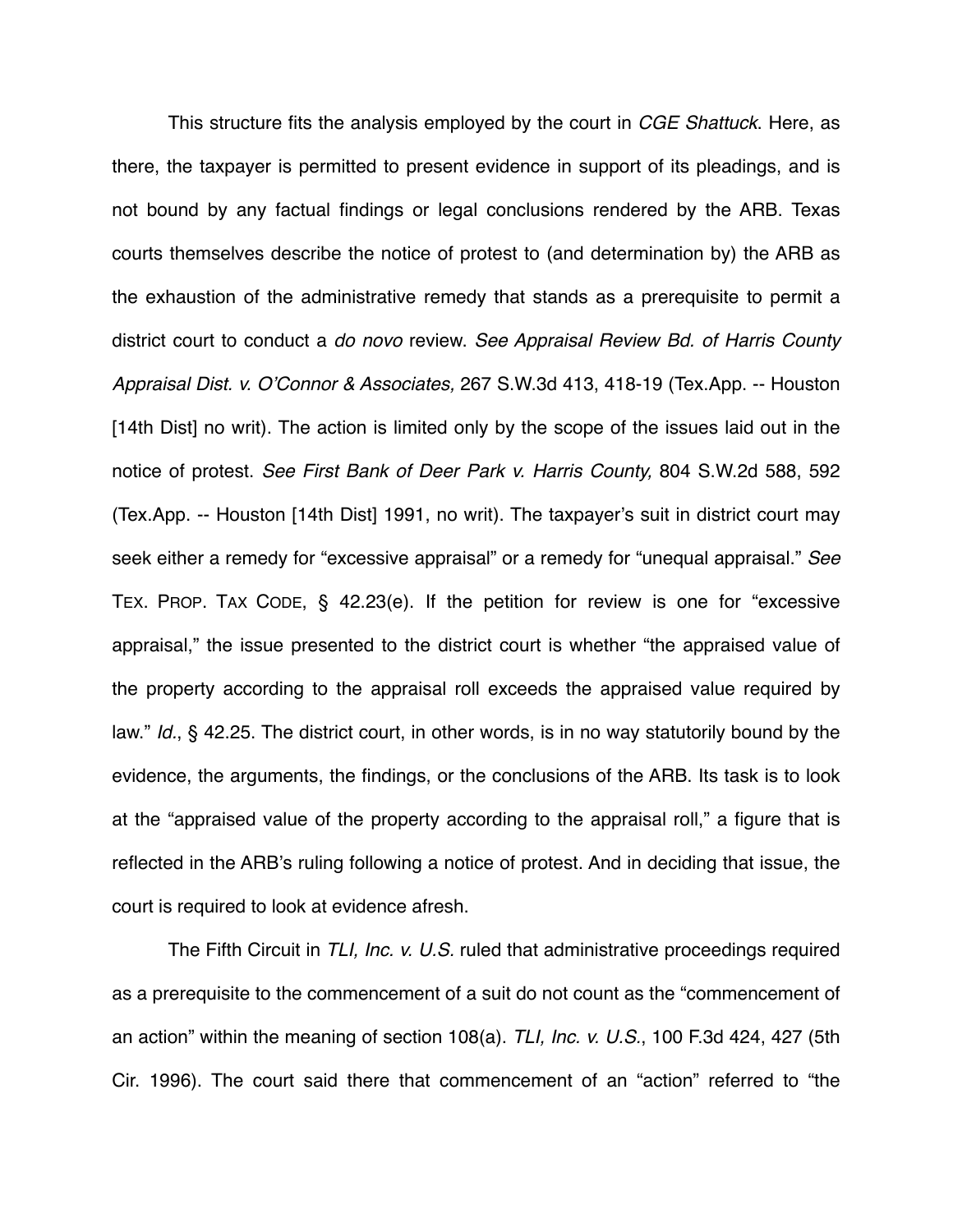This structure fits the analysis employed by the court in *CGE Shattuck*. Here, as there, the taxpayer is permitted to present evidence in support of its pleadings, and is not bound by any factual findings or legal conclusions rendered by the ARB. Texas courts themselves describe the notice of protest to (and determination by) the ARB as the exhaustion of the administrative remedy that stands as a prerequisite to permit a district court to conduct a *do novo* review. *See Appraisal Review Bd. of Harris County Appraisal Dist. v. O*'*Connor & Associates,* 267 S.W.3d 413, 418-19 (Tex.App. -- Houston [14th Dist] no writ). The action is limited only by the scope of the issues laid out in the notice of protest. *See First Bank of Deer Park v. Harris County,* 804 S.W.2d 588, 592 (Tex.App. -- Houston [14th Dist] 1991, no writ). The taxpayer's suit in district court may seek either a remedy for "excessive appraisal" or a remedy for "unequal appraisal." *See* TEX. PROP. TAX CODE, § 42.23(e). If the petition for review is one for "excessive appraisal," the issue presented to the district court is whether "the appraised value of the property according to the appraisal roll exceeds the appraised value required by law." *Id.*, § 42.25. The district court, in other words, is in no way statutorily bound by the evidence, the arguments, the findings, or the conclusions of the ARB. Its task is to look at the "appraised value of the property according to the appraisal roll," a figure that is reflected in the ARB's ruling following a notice of protest. And in deciding that issue, the court is required to look at evidence afresh.

The Fifth Circuit in *TLI, Inc. v. U.S.* ruled that administrative proceedings required as a prerequisite to the commencement of a suit do not count as the "commencement of an action" within the meaning of section 108(a). *TLI, Inc. v. U.S.*, 100 F.3d 424, 427 (5th Cir. 1996). The court said there that commencement of an "action" referred to "the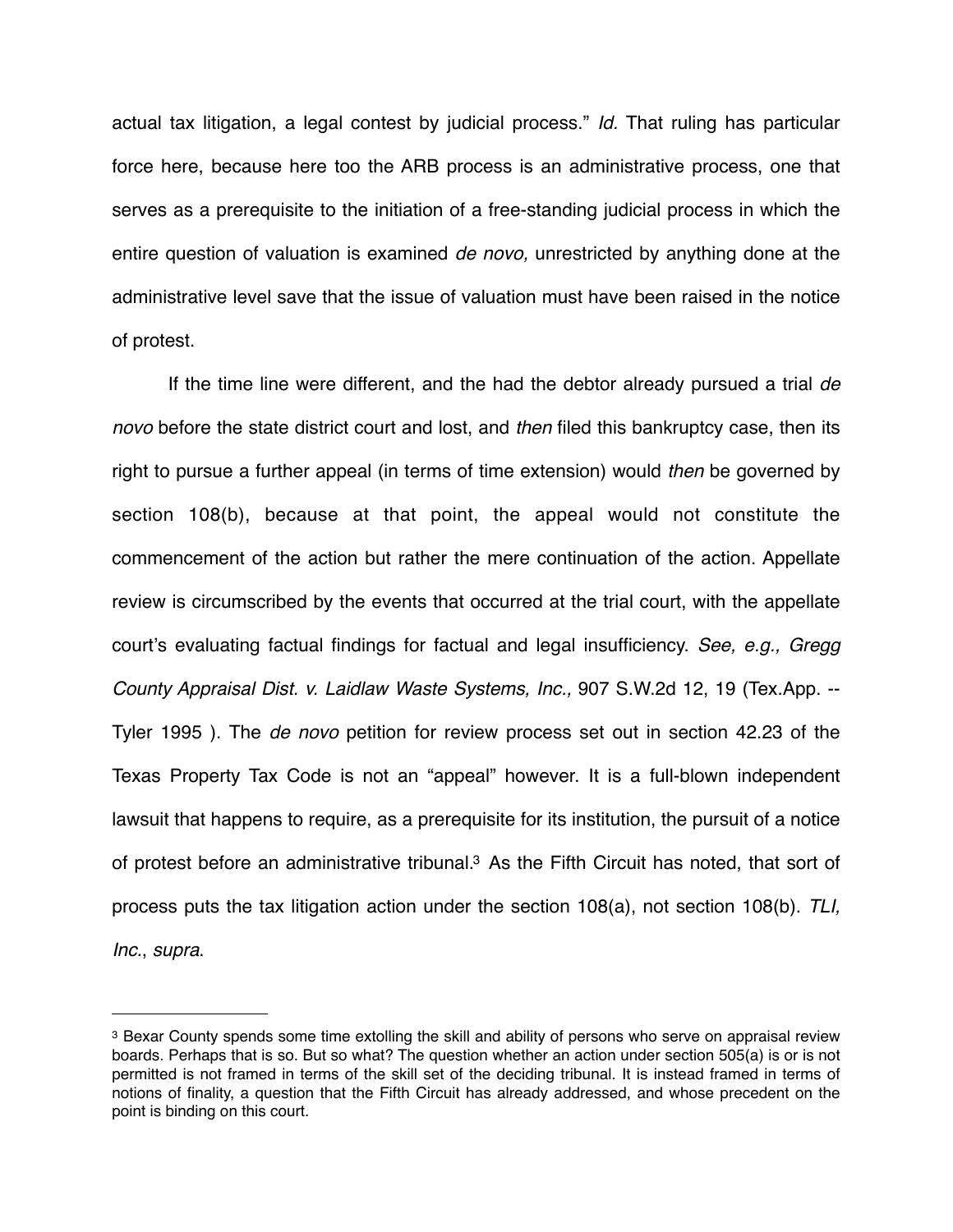actual tax litigation, a legal contest by judicial process." *Id.* That ruling has particular force here, because here too the ARB process is an administrative process, one that serves as a prerequisite to the initiation of a free-standing judicial process in which the entire question of valuation is examined *de novo,* unrestricted by anything done at the administrative level save that the issue of valuation must have been raised in the notice of protest.

If the time line were different, and the had the debtor already pursued a trial *de novo* before the state district court and lost, and *then* filed this bankruptcy case, then its right to pursue a further appeal (in terms of time extension) would *then* be governed by section 108(b), because at that point, the appeal would not constitute the commencement of the action but rather the mere continuation of the action. Appellate review is circumscribed by the events that occurred at the trial court, with the appellate court's evaluating factual findings for factual and legal insufficiency. *See, e.g., Gregg County Appraisal Dist. v. Laidlaw Waste Systems, Inc.,* 907 S.W.2d 12, 19 (Tex.App. -- Tyler 1995 ). The *de novo* petition for review process set out in section 42.23 of the Texas Property Tax Code is not an "appeal" however. It is a full-blown independent lawsuit that happens to require, as a prerequisite for its institution, the pursuit of a notice of protest before an administrative tribunal[.3](#page-7-0) As the Fifth Circuit has noted, that sort of process puts the tax litigation action under the section 108(a), not section 108(b). *TLI, Inc.*, *supra*.

<span id="page-7-0"></span><sup>3</sup> Bexar County spends some time extolling the skill and ability of persons who serve on appraisal review boards. Perhaps that is so. But so what? The question whether an action under section 505(a) is or is not permitted is not framed in terms of the skill set of the deciding tribunal. It is instead framed in terms of notions of finality, a question that the Fifth Circuit has already addressed, and whose precedent on the point is binding on this court.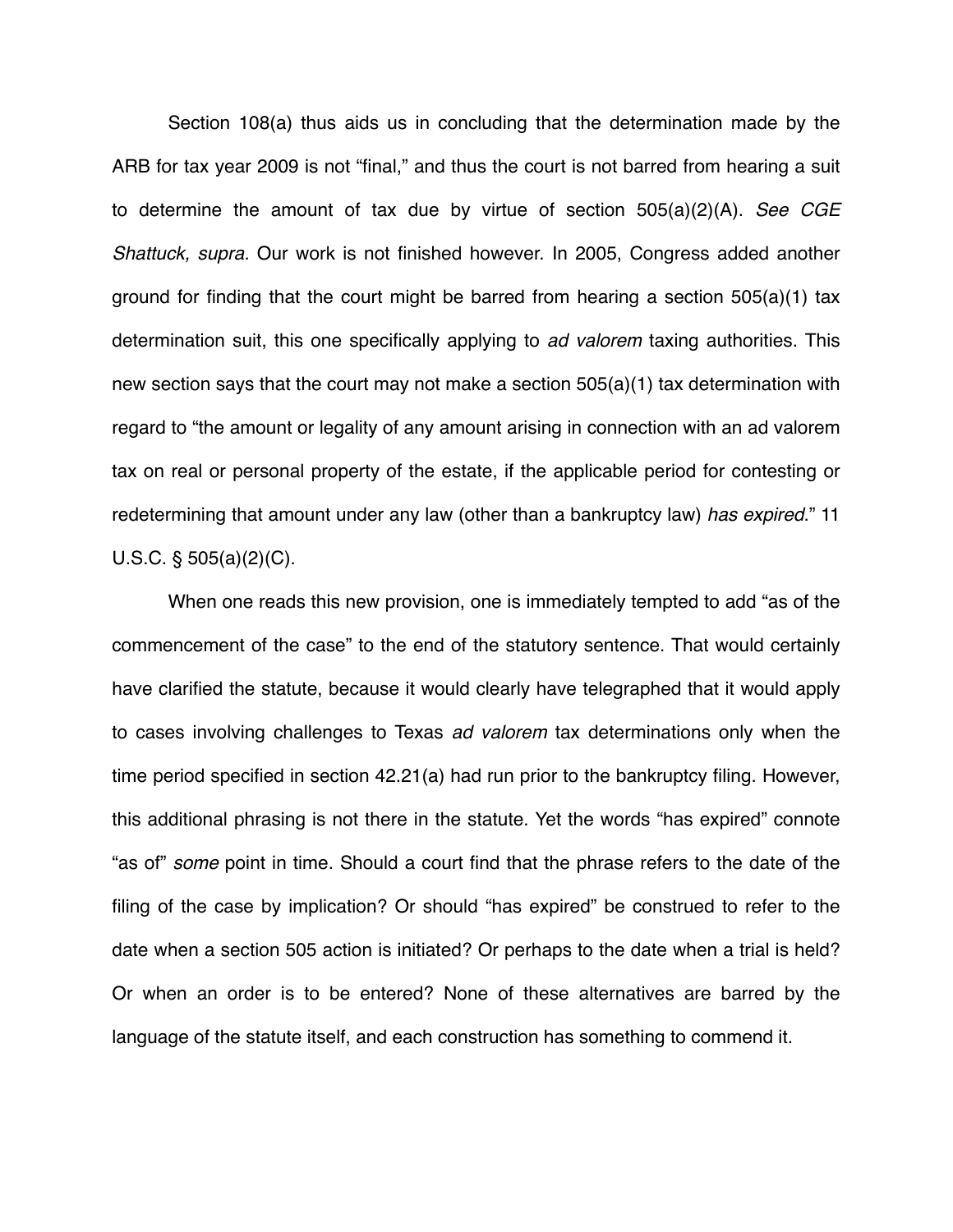Section 108(a) thus aids us in concluding that the determination made by the ARB for tax year 2009 is not "final," and thus the court is not barred from hearing a suit to determine the amount of tax due by virtue of section 505(a)(2)(A). *See CGE Shattuck, supra.* Our work is not finished however. In 2005, Congress added another ground for finding that the court might be barred from hearing a section 505(a)(1) tax determination suit, this one specifically applying to *ad valorem* taxing authorities. This new section says that the court may not make a section 505(a)(1) tax determination with regard to "the amount or legality of any amount arising in connection with an ad valorem tax on real or personal property of the estate, if the applicable period for contesting or redetermining that amount under any law (other than a bankruptcy law) *has expired*." 11 U.S.C. § 505(a)(2)(C).

When one reads this new provision, one is immediately tempted to add "as of the commencement of the case" to the end of the statutory sentence. That would certainly have clarified the statute, because it would clearly have telegraphed that it would apply to cases involving challenges to Texas *ad valorem* tax determinations only when the time period specified in section 42.21(a) had run prior to the bankruptcy filing. However, this additional phrasing is not there in the statute. Yet the words "has expired" connote "as of" *some* point in time. Should a court find that the phrase refers to the date of the filing of the case by implication? Or should "has expired" be construed to refer to the date when a section 505 action is initiated? Or perhaps to the date when a trial is held? Or when an order is to be entered? None of these alternatives are barred by the language of the statute itself, and each construction has something to commend it.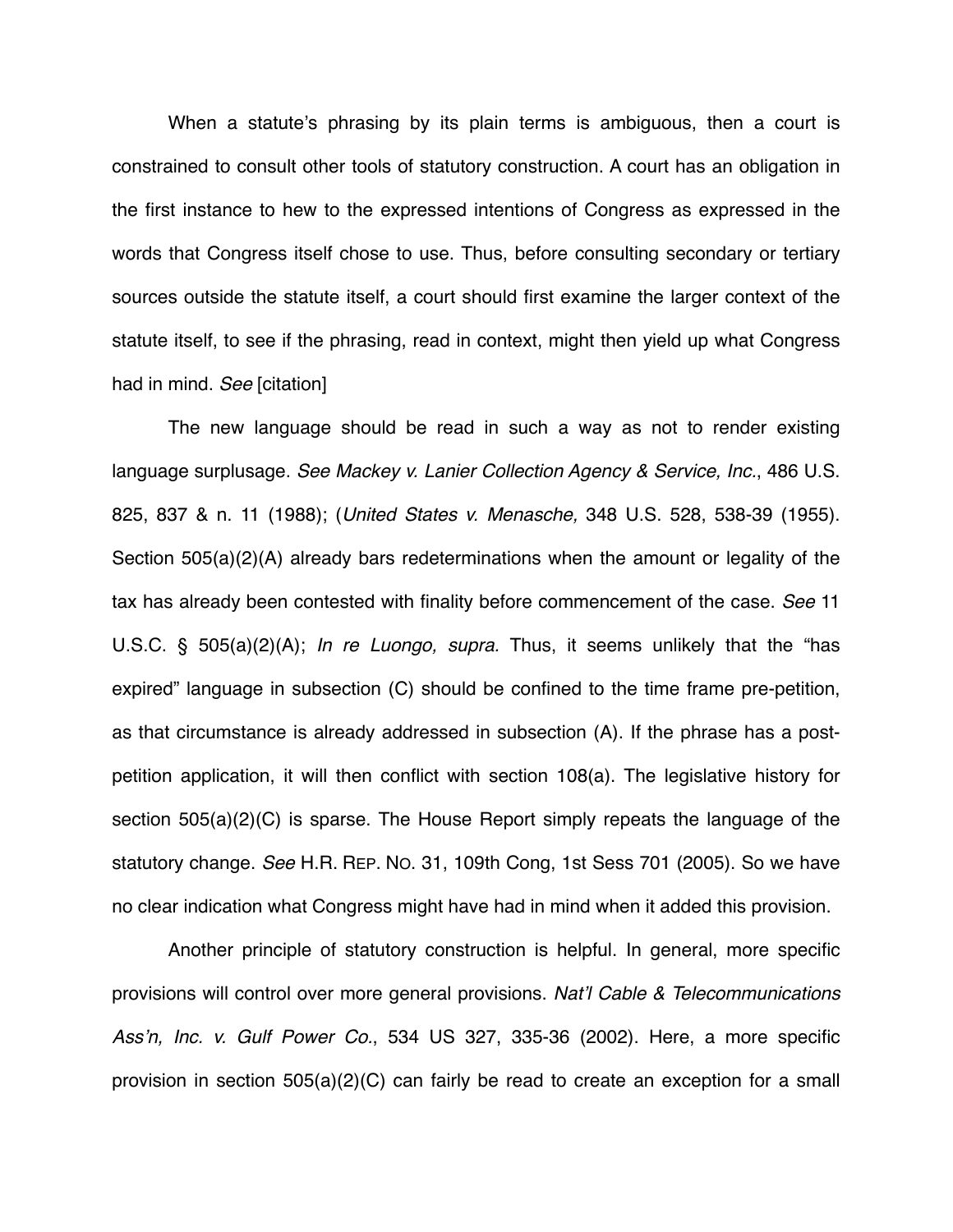When a statute's phrasing by its plain terms is ambiguous, then a court is constrained to consult other tools of statutory construction. A court has an obligation in the first instance to hew to the expressed intentions of Congress as expressed in the words that Congress itself chose to use. Thus, before consulting secondary or tertiary sources outside the statute itself, a court should first examine the larger context of the statute itself, to see if the phrasing, read in context, might then yield up what Congress had in mind. *See* [citation]

The new language should be read in such a way as not to render existing language surplusage. *See Mackey v. Lanier Collection Agency & Service, Inc.*, 486 U.S. 825, 837 & n. 11 (1988); (*United States v. Menasche,* 348 U.S. 528, 538-39 (1955). Section 505(a)(2)(A) already bars redeterminations when the amount or legality of the tax has already been contested with finality before commencement of the case. *See* 11 U.S.C. § 505(a)(2)(A); *In re Luongo, supra.* Thus, it seems unlikely that the "has expired" language in subsection (C) should be confined to the time frame pre-petition, as that circumstance is already addressed in subsection (A). If the phrase has a postpetition application, it will then conflict with section 108(a). The legislative history for section 505(a)(2)(C) is sparse. The House Report simply repeats the language of the statutory change. *See* H.R. REP. NO. 31, 109th Cong, 1st Sess 701 (2005). So we have no clear indication what Congress might have had in mind when it added this provision.

Another principle of statutory construction is helpful. In general, more specific provisions will control over more general provisions. *Nat*'*l Cable & Telecommunications Ass*'*n, Inc. v. Gulf Power Co.*, 534 US 327, 335-36 (2002). Here, a more specific provision in section 505(a)(2)(C) can fairly be read to create an exception for a small